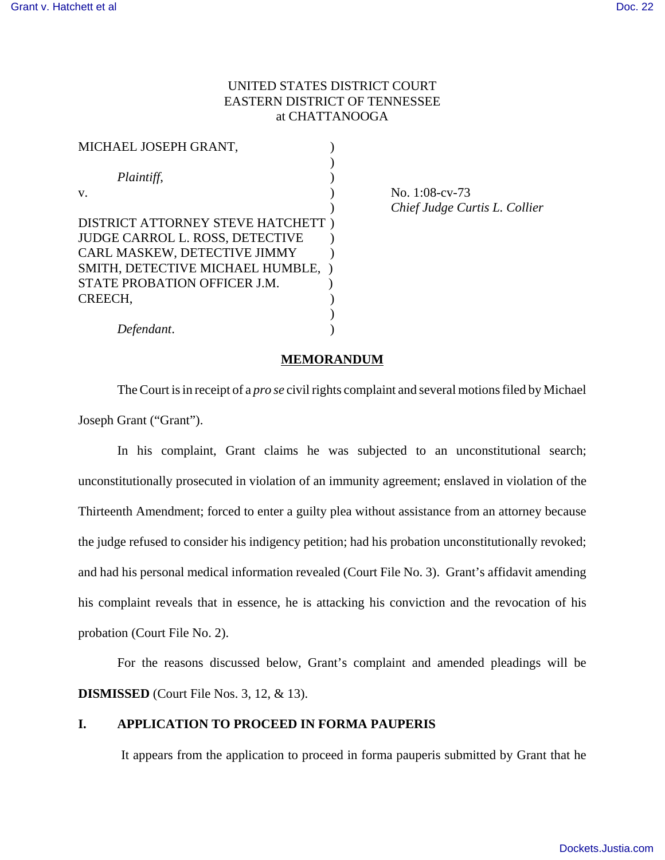# UNITED STATES DISTRICT COURT EASTERN DISTRICT OF TENNESSEE at CHATTANOOGA

| MICHAEL JOSEPH GRANT,                  |  |
|----------------------------------------|--|
|                                        |  |
| Plaintiff,                             |  |
| V.                                     |  |
|                                        |  |
| DISTRICT ATTORNEY STEVE HATCHETT )     |  |
| <b>JUDGE CARROL L. ROSS, DETECTIVE</b> |  |
| CARL MASKEW, DETECTIVE JIMMY           |  |
| SMITH, DETECTIVE MICHAEL HUMBLE,       |  |
| STATE PROBATION OFFICER J.M.           |  |
| CREECH.                                |  |
|                                        |  |
| Defendant.                             |  |

No. 1:08-cv-73 ) *Chief Judge Curtis L. Collier*

# **MEMORANDUM**

The Court is in receipt of a *pro se* civil rights complaint and several motions filed by Michael Joseph Grant ("Grant").

In his complaint, Grant claims he was subjected to an unconstitutional search; unconstitutionally prosecuted in violation of an immunity agreement; enslaved in violation of the Thirteenth Amendment; forced to enter a guilty plea without assistance from an attorney because the judge refused to consider his indigency petition; had his probation unconstitutionally revoked; and had his personal medical information revealed (Court File No. 3). Grant's affidavit amending his complaint reveals that in essence, he is attacking his conviction and the revocation of his probation (Court File No. 2).

For the reasons discussed below, Grant's complaint and amended pleadings will be **DISMISSED** (Court File Nos. 3, 12, & 13).

# **I. APPLICATION TO PROCEED IN FORMA PAUPERIS**

It appears from the application to proceed in forma pauperis submitted by Grant that he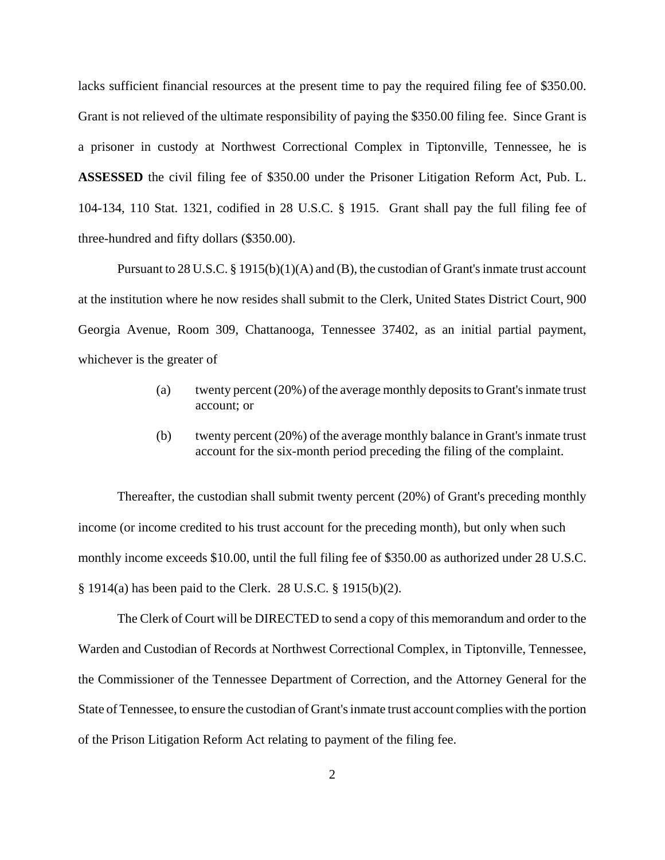lacks sufficient financial resources at the present time to pay the required filing fee of \$350.00. Grant is not relieved of the ultimate responsibility of paying the \$350.00 filing fee. Since Grant is a prisoner in custody at Northwest Correctional Complex in Tiptonville, Tennessee, he is **ASSESSED** the civil filing fee of \$350.00 under the Prisoner Litigation Reform Act, Pub. L. 104-134, 110 Stat. 1321, codified in 28 U.S.C. § 1915. Grant shall pay the full filing fee of three-hundred and fifty dollars (\$350.00).

Pursuant to 28 U.S.C. § 1915(b)(1)(A) and (B), the custodian of Grant's inmate trust account at the institution where he now resides shall submit to the Clerk, United States District Court, 900 Georgia Avenue, Room 309, Chattanooga, Tennessee 37402, as an initial partial payment, whichever is the greater of

- (a) twenty percent (20%) of the average monthly deposits to Grant's inmate trust account; or
- (b) twenty percent (20%) of the average monthly balance in Grant's inmate trust account for the six-month period preceding the filing of the complaint.

Thereafter, the custodian shall submit twenty percent (20%) of Grant's preceding monthly income (or income credited to his trust account for the preceding month), but only when such monthly income exceeds \$10.00, until the full filing fee of \$350.00 as authorized under 28 U.S.C. § 1914(a) has been paid to the Clerk. 28 U.S.C. § 1915(b)(2).

The Clerk of Court will be DIRECTED to send a copy of this memorandum and order to the Warden and Custodian of Records at Northwest Correctional Complex, in Tiptonville, Tennessee, the Commissioner of the Tennessee Department of Correction, and the Attorney General for the State of Tennessee, to ensure the custodian of Grant's inmate trust account complies with the portion of the Prison Litigation Reform Act relating to payment of the filing fee.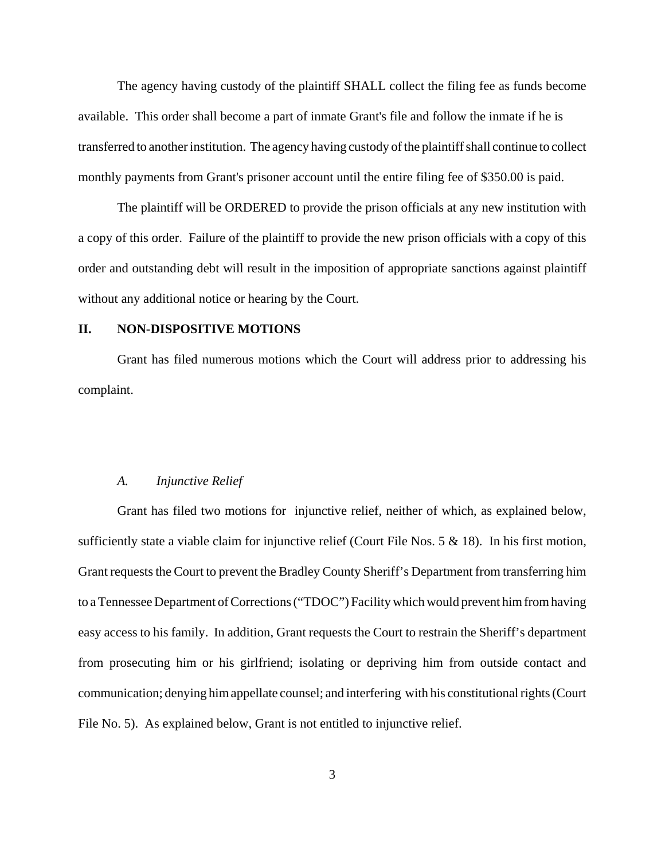The agency having custody of the plaintiff SHALL collect the filing fee as funds become available. This order shall become a part of inmate Grant's file and follow the inmate if he is transferred to another institution. The agency having custody of the plaintiff shall continue to collect monthly payments from Grant's prisoner account until the entire filing fee of \$350.00 is paid.

The plaintiff will be ORDERED to provide the prison officials at any new institution with a copy of this order. Failure of the plaintiff to provide the new prison officials with a copy of this order and outstanding debt will result in the imposition of appropriate sanctions against plaintiff without any additional notice or hearing by the Court.

# **II. NON-DISPOSITIVE MOTIONS**

Grant has filed numerous motions which the Court will address prior to addressing his complaint.

### *A. Injunctive Relief*

Grant has filed two motions for injunctive relief, neither of which, as explained below, sufficiently state a viable claim for injunctive relief (Court File Nos.  $5 & 18$ ). In his first motion, Grant requests the Court to prevent the Bradley County Sheriff's Department from transferring him to a Tennessee Department of Corrections ("TDOC") Facility which would prevent him from having easy access to his family. In addition, Grant requests the Court to restrain the Sheriff's department from prosecuting him or his girlfriend; isolating or depriving him from outside contact and communication; denying him appellate counsel; and interfering with his constitutional rights (Court File No. 5). As explained below, Grant is not entitled to injunctive relief.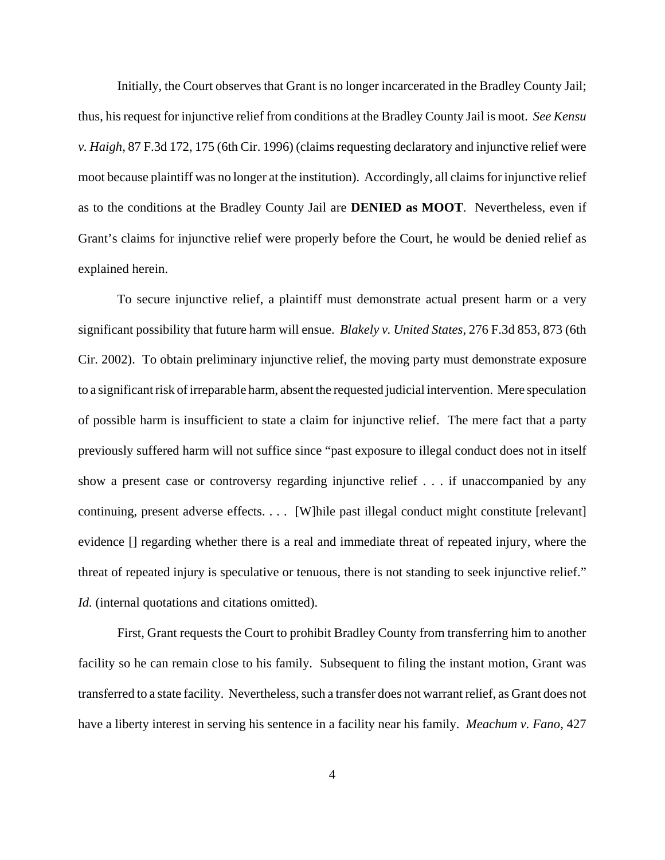Initially, the Court observes that Grant is no longer incarcerated in the Bradley County Jail; thus, his request for injunctive relief from conditions at the Bradley County Jail is moot. *See Kensu v. Haigh*, 87 F.3d 172, 175 (6th Cir. 1996) (claims requesting declaratory and injunctive relief were moot because plaintiff was no longer at the institution). Accordingly, all claims for injunctive relief as to the conditions at the Bradley County Jail are **DENIED as MOOT**. Nevertheless, even if Grant's claims for injunctive relief were properly before the Court, he would be denied relief as explained herein.

To secure injunctive relief, a plaintiff must demonstrate actual present harm or a very significant possibility that future harm will ensue. *Blakely v. United States*, 276 F.3d 853, 873 (6th Cir. 2002). To obtain preliminary injunctive relief, the moving party must demonstrate exposure to a significant risk of irreparable harm, absent the requested judicial intervention. Mere speculation of possible harm is insufficient to state a claim for injunctive relief. The mere fact that a party previously suffered harm will not suffice since "past exposure to illegal conduct does not in itself show a present case or controversy regarding injunctive relief . . . if unaccompanied by any continuing, present adverse effects. . . . [W]hile past illegal conduct might constitute [relevant] evidence [] regarding whether there is a real and immediate threat of repeated injury, where the threat of repeated injury is speculative or tenuous, there is not standing to seek injunctive relief." *Id.* (internal quotations and citations omitted).

First, Grant requests the Court to prohibit Bradley County from transferring him to another facility so he can remain close to his family. Subsequent to filing the instant motion, Grant was transferred to a state facility. Nevertheless, such a transfer does not warrant relief, as Grant does not have a liberty interest in serving his sentence in a facility near his family. *Meachum v. Fano*, 427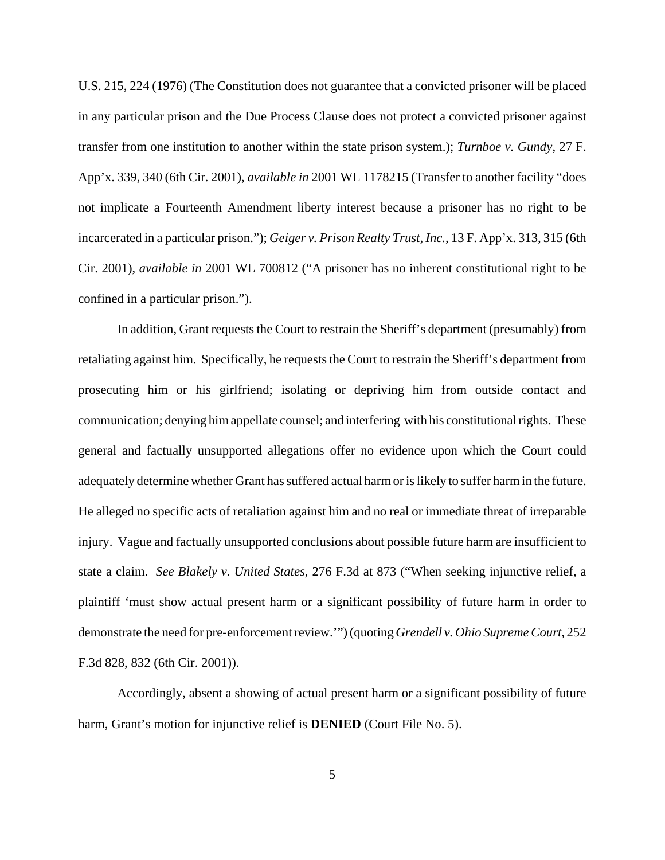U.S. 215, 224 (1976) (The Constitution does not guarantee that a convicted prisoner will be placed in any particular prison and the Due Process Clause does not protect a convicted prisoner against transfer from one institution to another within the state prison system.); *Turnboe v. Gundy*, 27 F. App'x. 339, 340 (6th Cir. 2001), *available in* 2001 WL 1178215 (Transfer to another facility "does not implicate a Fourteenth Amendment liberty interest because a prisoner has no right to be incarcerated in a particular prison."); *Geiger v. Prison Realty Trust, Inc.*, 13 F. App'x. 313, 315 (6th Cir. 2001), *available in* 2001 WL 700812 ("A prisoner has no inherent constitutional right to be confined in a particular prison.").

In addition, Grant requests the Court to restrain the Sheriff's department (presumably) from retaliating against him. Specifically, he requests the Court to restrain the Sheriff's department from prosecuting him or his girlfriend; isolating or depriving him from outside contact and communication; denying him appellate counsel; and interfering with his constitutional rights. These general and factually unsupported allegations offer no evidence upon which the Court could adequately determine whether Grant has suffered actual harm or is likely to suffer harm in the future. He alleged no specific acts of retaliation against him and no real or immediate threat of irreparable injury. Vague and factually unsupported conclusions about possible future harm are insufficient to state a claim. *See Blakely v. United States*, 276 F.3d at 873 ("When seeking injunctive relief, a plaintiff 'must show actual present harm or a significant possibility of future harm in order to demonstrate the need for pre-enforcement review.'") (quoting *Grendell v. Ohio Supreme Court*, 252 F.3d 828, 832 (6th Cir. 2001)).

Accordingly, absent a showing of actual present harm or a significant possibility of future harm, Grant's motion for injunctive relief is **DENIED** (Court File No. 5).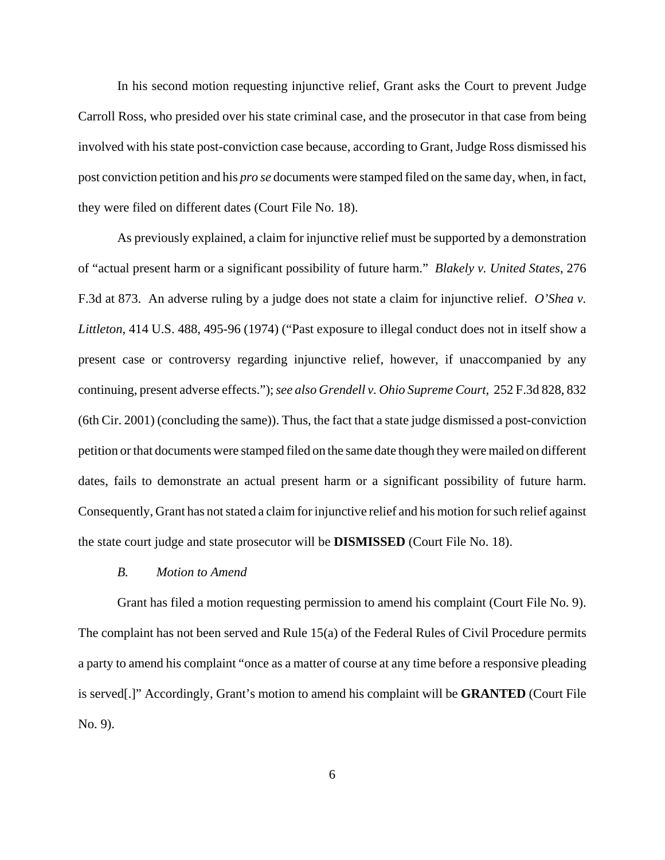In his second motion requesting injunctive relief, Grant asks the Court to prevent Judge Carroll Ross, who presided over his state criminal case, and the prosecutor in that case from being involved with his state post-conviction case because, according to Grant, Judge Ross dismissed his post conviction petition and his *pro se* documents were stamped filed on the same day, when, in fact, they were filed on different dates (Court File No. 18).

As previously explained, a claim for injunctive relief must be supported by a demonstration of "actual present harm or a significant possibility of future harm." *Blakely v. United States*, 276 F.3d at 873. An adverse ruling by a judge does not state a claim for injunctive relief. *O'Shea v. Littleton*, 414 U.S. 488, 495-96 (1974) ("Past exposure to illegal conduct does not in itself show a present case or controversy regarding injunctive relief, however, if unaccompanied by any continuing, present adverse effects."); *see also Grendell v. Ohio Supreme Court*, 252 F.3d 828, 832 (6th Cir. 2001) (concluding the same)). Thus, the fact that a state judge dismissed a post-conviction petition or that documents were stamped filed on the same date though they were mailed on different dates, fails to demonstrate an actual present harm or a significant possibility of future harm. Consequently, Grant has not stated a claim for injunctive relief and his motion for such relief against the state court judge and state prosecutor will be **DISMISSED** (Court File No. 18).

### *B. Motion to Amend*

Grant has filed a motion requesting permission to amend his complaint (Court File No. 9). The complaint has not been served and Rule 15(a) of the Federal Rules of Civil Procedure permits a party to amend his complaint "once as a matter of course at any time before a responsive pleading is served[.]" Accordingly, Grant's motion to amend his complaint will be **GRANTED** (Court File No. 9).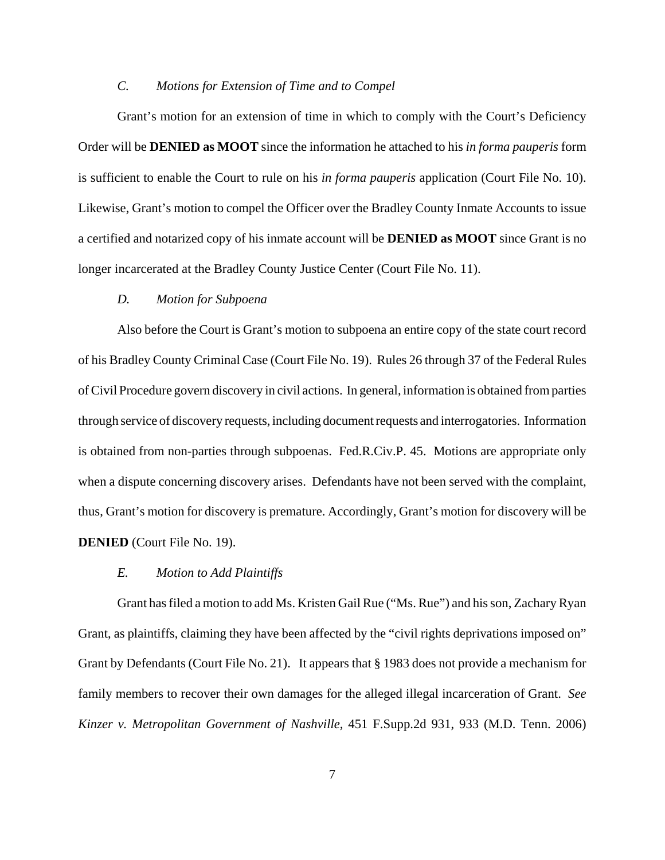# *C. Motions for Extension of Time and to Compel*

Grant's motion for an extension of time in which to comply with the Court's Deficiency Order will be **DENIED as MOOT** since the information he attached to his *in forma pauperis* form is sufficient to enable the Court to rule on his *in forma pauperis* application (Court File No. 10). Likewise, Grant's motion to compel the Officer over the Bradley County Inmate Accounts to issue a certified and notarized copy of his inmate account will be **DENIED as MOOT** since Grant is no longer incarcerated at the Bradley County Justice Center (Court File No. 11).

### *D. Motion for Subpoena*

Also before the Court is Grant's motion to subpoena an entire copy of the state court record of his Bradley County Criminal Case (Court File No. 19). Rules 26 through 37 of the Federal Rules of Civil Procedure govern discovery in civil actions. In general, information is obtained from parties through service of discovery requests, including document requests and interrogatories. Information is obtained from non-parties through subpoenas. Fed.R.Civ.P. 45. Motions are appropriate only when a dispute concerning discovery arises. Defendants have not been served with the complaint, thus, Grant's motion for discovery is premature. Accordingly, Grant's motion for discovery will be **DENIED** (Court File No. 19).

# *E. Motion to Add Plaintiffs*

Grant has filed a motion to add Ms. Kristen Gail Rue ("Ms. Rue") and his son, Zachary Ryan Grant, as plaintiffs, claiming they have been affected by the "civil rights deprivations imposed on" Grant by Defendants (Court File No. 21). It appears that § 1983 does not provide a mechanism for family members to recover their own damages for the alleged illegal incarceration of Grant. *See Kinzer v. Metropolitan Government of Nashville*, 451 F.Supp.2d 931, 933 (M.D. Tenn. 2006)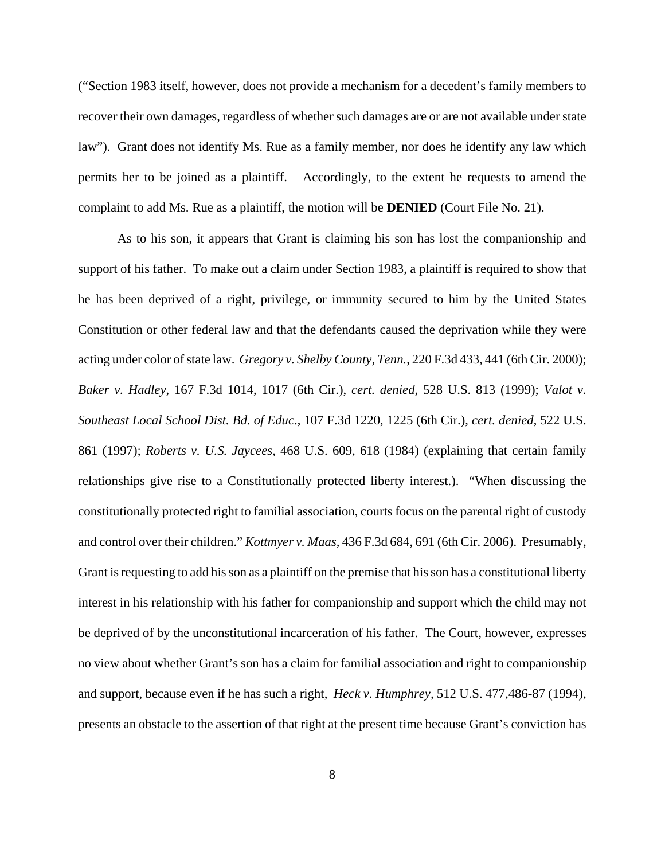("Section 1983 itself, however, does not provide a mechanism for a decedent's family members to recover their own damages, regardless of whether such damages are or are not available under state law"). Grant does not identify Ms. Rue as a family member, nor does he identify any law which permits her to be joined as a plaintiff. Accordingly, to the extent he requests to amend the complaint to add Ms. Rue as a plaintiff, the motion will be **DENIED** (Court File No. 21).

As to his son, it appears that Grant is claiming his son has lost the companionship and support of his father. To make out a claim under Section 1983, a plaintiff is required to show that he has been deprived of a right, privilege, or immunity secured to him by the United States Constitution or other federal law and that the defendants caused the deprivation while they were acting under color of state law. *Gregory v. Shelby County, Tenn.*, 220 F.3d 433, 441 (6th Cir. 2000); *Baker v. Hadley*, 167 F.3d 1014, 1017 (6th Cir.), *cert. denied*, 528 U.S. 813 (1999); *Valot v. Southeast Local School Dist. Bd. of Educ*., 107 F.3d 1220, 1225 (6th Cir.), *cert. denied*, 522 U.S. 861 (1997); *Roberts v. U.S. Jaycees,* 468 U.S. 609, 618 (1984) (explaining that certain family relationships give rise to a Constitutionally protected liberty interest.). "When discussing the constitutionally protected right to familial association, courts focus on the parental right of custody and control over their children." *Kottmyer v. Maas,* 436 F.3d 684, 691 (6th Cir. 2006). Presumably, Grant is requesting to add his son as a plaintiff on the premise that his son has a constitutional liberty interest in his relationship with his father for companionship and support which the child may not be deprived of by the unconstitutional incarceration of his father. The Court, however, expresses no view about whether Grant's son has a claim for familial association and right to companionship and support, because even if he has such a right, *Heck v. Humphrey,* 512 U.S. 477,486-87 (1994), presents an obstacle to the assertion of that right at the present time because Grant's conviction has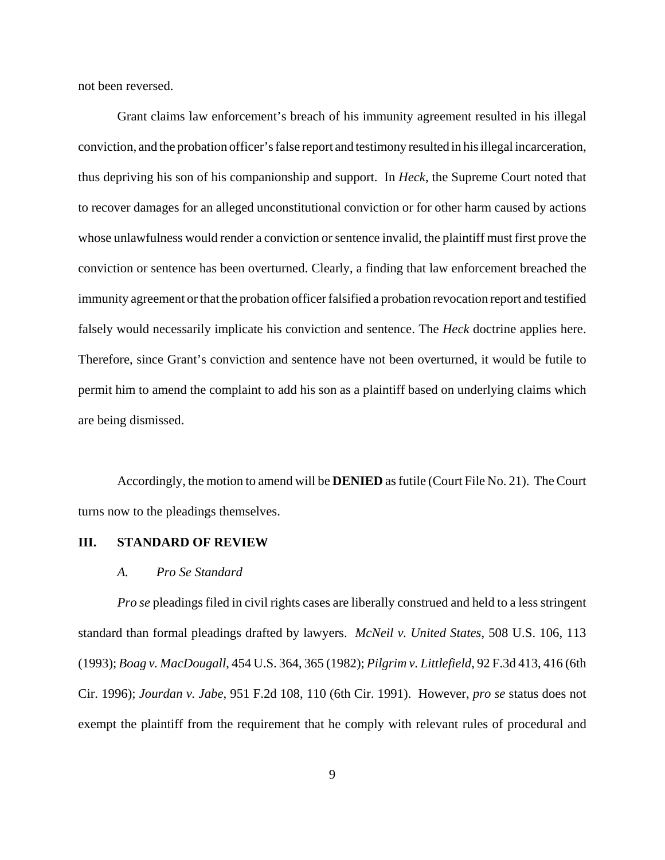not been reversed.

Grant claims law enforcement's breach of his immunity agreement resulted in his illegal conviction, and the probation officer's false report and testimony resulted in his illegal incarceration, thus depriving his son of his companionship and support. In *Heck*, the Supreme Court noted that to recover damages for an alleged unconstitutional conviction or for other harm caused by actions whose unlawfulness would render a conviction or sentence invalid, the plaintiff must first prove the conviction or sentence has been overturned. Clearly, a finding that law enforcement breached the immunity agreement or that the probation officer falsified a probation revocation report and testified falsely would necessarily implicate his conviction and sentence. The *Heck* doctrine applies here. Therefore, since Grant's conviction and sentence have not been overturned, it would be futile to permit him to amend the complaint to add his son as a plaintiff based on underlying claims which are being dismissed.

Accordingly, the motion to amend will be **DENIED** as futile (Court File No. 21). The Court turns now to the pleadings themselves.

### **III. STANDARD OF REVIEW**

#### *A. Pro Se Standard*

*Pro se* pleadings filed in civil rights cases are liberally construed and held to a less stringent standard than formal pleadings drafted by lawyers. *McNeil v. United States*, 508 U.S. 106, 113 (1993); *Boag v. MacDougall*, 454 U.S. 364, 365 (1982); *Pilgrim v. Littlefield*, 92 F.3d 413, 416 (6th Cir. 1996); *Jourdan v. Jabe*, 951 F.2d 108, 110 (6th Cir. 1991). However, *pro se* status does not exempt the plaintiff from the requirement that he comply with relevant rules of procedural and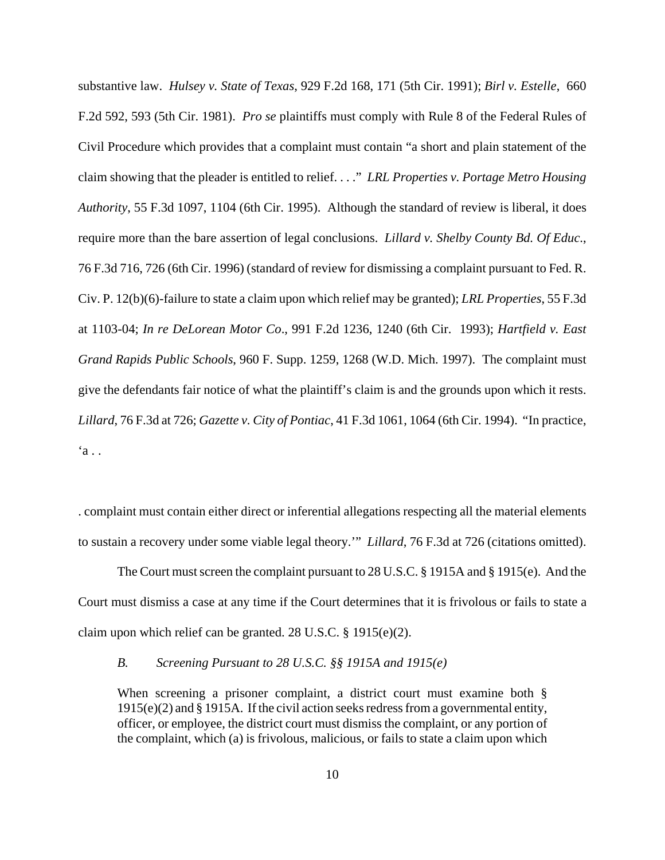substantive law. *Hulsey v. State of Texas*, 929 F.2d 168, 171 (5th Cir. 1991); *Birl v. Estelle*, 660 F.2d 592, 593 (5th Cir. 1981). *Pro se* plaintiffs must comply with Rule 8 of the Federal Rules of Civil Procedure which provides that a complaint must contain "a short and plain statement of the claim showing that the pleader is entitled to relief. . . ." *LRL Properties v. Portage Metro Housing Authority*, 55 F.3d 1097, 1104 (6th Cir. 1995). Although the standard of review is liberal, it does require more than the bare assertion of legal conclusions. *Lillard v. Shelby County Bd. Of Educ*., 76 F.3d 716, 726 (6th Cir. 1996) (standard of review for dismissing a complaint pursuant to Fed. R. Civ. P. 12(b)(6)-failure to state a claim upon which relief may be granted); *LRL Properties*, 55 F.3d at 1103-04; *In re DeLorean Motor Co*., 991 F.2d 1236, 1240 (6th Cir. 1993); *Hartfield v. East Grand Rapids Public Schools*, 960 F. Supp. 1259, 1268 (W.D. Mich. 1997). The complaint must give the defendants fair notice of what the plaintiff's claim is and the grounds upon which it rests. *Lillard*, 76 F.3d at 726; *Gazette v. City of Pontiac*, 41 F.3d 1061, 1064 (6th Cir. 1994). "In practice,  $a \cdot$ .

. complaint must contain either direct or inferential allegations respecting all the material elements to sustain a recovery under some viable legal theory.'" *Lillard*, 76 F.3d at 726 (citations omitted).

The Court must screen the complaint pursuant to 28 U.S.C. § 1915A and § 1915(e). And the Court must dismiss a case at any time if the Court determines that it is frivolous or fails to state a claim upon which relief can be granted. 28 U.S.C. § 1915(e)(2).

### *B. Screening Pursuant to 28 U.S.C. §§ 1915A and 1915(e)*

When screening a prisoner complaint, a district court must examine both § 1915(e)(2) and § 1915A. If the civil action seeks redress from a governmental entity, officer, or employee, the district court must dismiss the complaint, or any portion of the complaint, which (a) is frivolous, malicious, or fails to state a claim upon which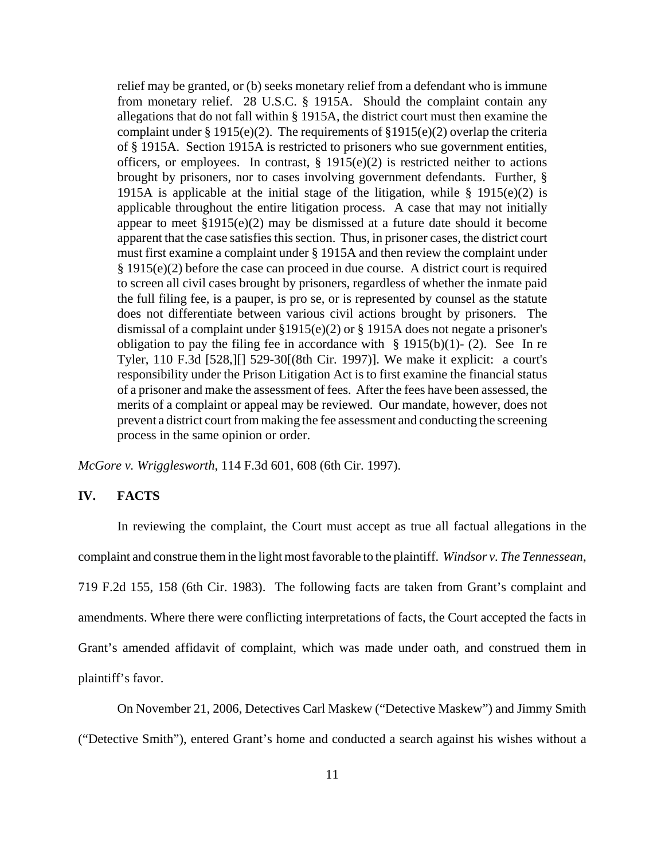relief may be granted, or (b) seeks monetary relief from a defendant who is immune from monetary relief. 28 U.S.C. § 1915A. Should the complaint contain any allegations that do not fall within § 1915A, the district court must then examine the complaint under § 1915(e)(2). The requirements of §1915(e)(2) overlap the criteria of § 1915A. Section 1915A is restricted to prisoners who sue government entities, officers, or employees. In contrast,  $\S$  1915(e)(2) is restricted neither to actions brought by prisoners, nor to cases involving government defendants. Further, § 1915A is applicable at the initial stage of the litigation, while  $\S$  1915(e)(2) is applicable throughout the entire litigation process. A case that may not initially appear to meet §1915(e)(2) may be dismissed at a future date should it become apparent that the case satisfies this section. Thus, in prisoner cases, the district court must first examine a complaint under § 1915A and then review the complaint under § 1915(e)(2) before the case can proceed in due course. A district court is required to screen all civil cases brought by prisoners, regardless of whether the inmate paid the full filing fee, is a pauper, is pro se, or is represented by counsel as the statute does not differentiate between various civil actions brought by prisoners. The dismissal of a complaint under §1915(e)(2) or § 1915A does not negate a prisoner's obligation to pay the filing fee in accordance with  $\S$  1915(b)(1)-(2). See In re Tyler, 110 F.3d [528,][] 529-30[(8th Cir. 1997)]. We make it explicit: a court's responsibility under the Prison Litigation Act is to first examine the financial status of a prisoner and make the assessment of fees. After the fees have been assessed, the merits of a complaint or appeal may be reviewed. Our mandate, however, does not prevent a district court from making the fee assessment and conducting the screening process in the same opinion or order.

*McGore v. Wrigglesworth*, 114 F.3d 601, 608 (6th Cir. 1997).

### **IV. FACTS**

In reviewing the complaint, the Court must accept as true all factual allegations in the complaint and construe them in the light most favorable to the plaintiff. *Windsor v. The Tennessean*, 719 F.2d 155, 158 (6th Cir. 1983). The following facts are taken from Grant's complaint and amendments. Where there were conflicting interpretations of facts, the Court accepted the facts in Grant's amended affidavit of complaint, which was made under oath, and construed them in plaintiff's favor.

On November 21, 2006, Detectives Carl Maskew ("Detective Maskew") and Jimmy Smith

("Detective Smith"), entered Grant's home and conducted a search against his wishes without a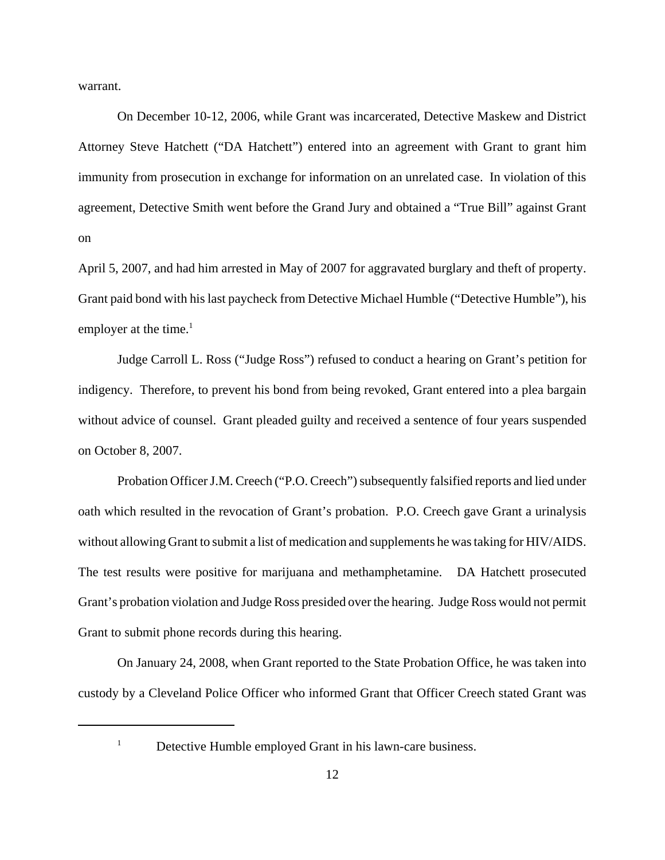warrant.

On December 10-12, 2006, while Grant was incarcerated, Detective Maskew and District Attorney Steve Hatchett ("DA Hatchett") entered into an agreement with Grant to grant him immunity from prosecution in exchange for information on an unrelated case. In violation of this agreement, Detective Smith went before the Grand Jury and obtained a "True Bill" against Grant on

April 5, 2007, and had him arrested in May of 2007 for aggravated burglary and theft of property. Grant paid bond with his last paycheck from Detective Michael Humble ("Detective Humble"), his employer at the time. $<sup>1</sup>$ </sup>

Judge Carroll L. Ross ("Judge Ross") refused to conduct a hearing on Grant's petition for indigency. Therefore, to prevent his bond from being revoked, Grant entered into a plea bargain without advice of counsel. Grant pleaded guilty and received a sentence of four years suspended on October 8, 2007.

Probation Officer J.M. Creech ("P.O. Creech") subsequently falsified reports and lied under oath which resulted in the revocation of Grant's probation. P.O. Creech gave Grant a urinalysis without allowing Grant to submit a list of medication and supplements he was taking for HIV/AIDS. The test results were positive for marijuana and methamphetamine. DA Hatchett prosecuted Grant's probation violation and Judge Ross presided over the hearing. Judge Ross would not permit Grant to submit phone records during this hearing.

On January 24, 2008, when Grant reported to the State Probation Office, he was taken into custody by a Cleveland Police Officer who informed Grant that Officer Creech stated Grant was

 $1$  Detective Humble employed Grant in his lawn-care business.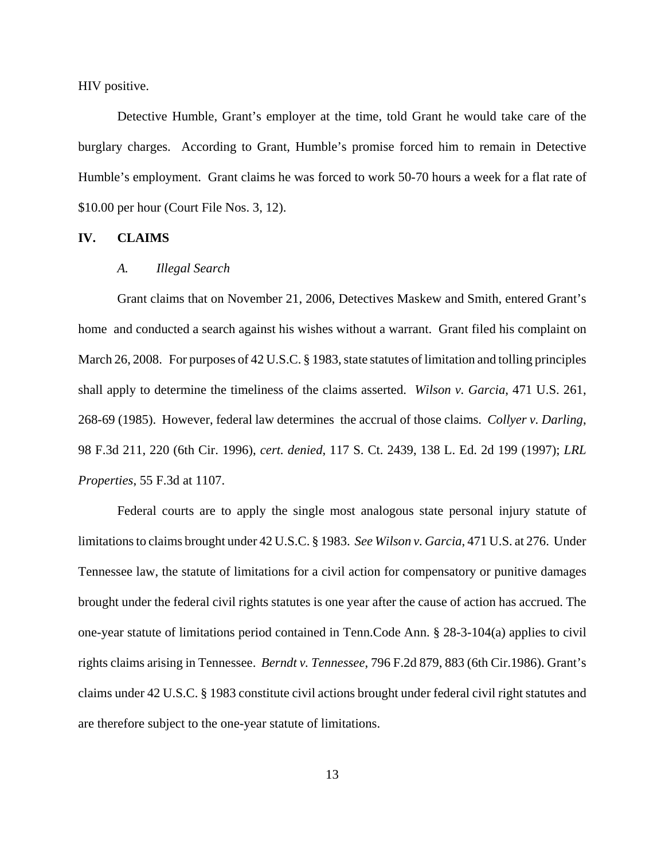HIV positive.

Detective Humble, Grant's employer at the time, told Grant he would take care of the burglary charges. According to Grant, Humble's promise forced him to remain in Detective Humble's employment. Grant claims he was forced to work 50-70 hours a week for a flat rate of \$10.00 per hour (Court File Nos. 3, 12).

#### **IV. CLAIMS**

#### *A. Illegal Search*

Grant claims that on November 21, 2006, Detectives Maskew and Smith, entered Grant's home and conducted a search against his wishes without a warrant. Grant filed his complaint on March 26, 2008. For purposes of 42 U.S.C. § 1983, state statutes of limitation and tolling principles shall apply to determine the timeliness of the claims asserted. *Wilson v. Garcia*, 471 U.S. 261, 268-69 (1985). However, federal law determines the accrual of those claims. *Collyer v. Darling*, 98 F.3d 211, 220 (6th Cir. 1996), *cert. denied*, 117 S. Ct. 2439, 138 L. Ed. 2d 199 (1997); *LRL Properties*, 55 F.3d at 1107.

Federal courts are to apply the single most analogous state personal injury statute of limitations to claims brought under 42 U.S.C. § 1983. *See Wilson v. Garcia*, 471 U.S. at 276. Under Tennessee law, the statute of limitations for a civil action for compensatory or punitive damages brought under the federal civil rights statutes is one year after the cause of action has accrued. The one-year statute of limitations period contained in Tenn.Code Ann. § 28-3-104(a) applies to civil rights claims arising in Tennessee. *Berndt v. Tennessee*, 796 F.2d 879, 883 (6th Cir.1986). Grant's claims under 42 U.S.C. § 1983 constitute civil actions brought under federal civil right statutes and are therefore subject to the one-year statute of limitations.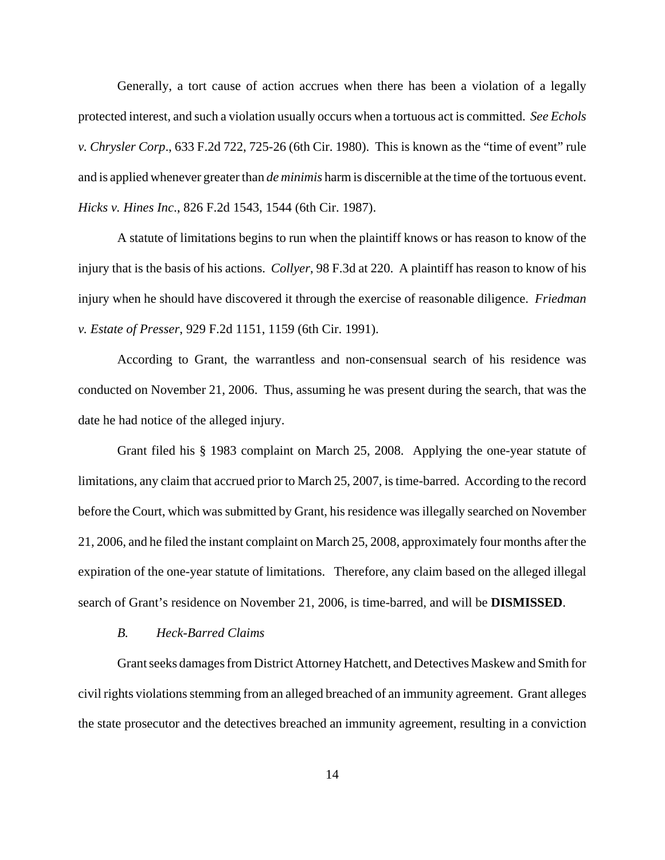Generally, a tort cause of action accrues when there has been a violation of a legally protected interest, and such a violation usually occurs when a tortuous act is committed. *See Echols v. Chrysler Corp*., 633 F.2d 722, 725-26 (6th Cir. 1980). This is known as the "time of event" rule and is applied whenever greater than *de minimis* harm is discernible at the time of the tortuous event. *Hicks v. Hines Inc*., 826 F.2d 1543, 1544 (6th Cir. 1987).

A statute of limitations begins to run when the plaintiff knows or has reason to know of the injury that is the basis of his actions. *Collyer*, 98 F.3d at 220. A plaintiff has reason to know of his injury when he should have discovered it through the exercise of reasonable diligence. *Friedman v. Estate of Presser*, 929 F.2d 1151, 1159 (6th Cir. 1991).

According to Grant, the warrantless and non-consensual search of his residence was conducted on November 21, 2006. Thus, assuming he was present during the search, that was the date he had notice of the alleged injury.

Grant filed his § 1983 complaint on March 25, 2008. Applying the one-year statute of limitations, any claim that accrued prior to March 25, 2007, is time-barred. According to the record before the Court, which was submitted by Grant, his residence was illegally searched on November 21, 2006, and he filed the instant complaint on March 25, 2008, approximately four months after the expiration of the one-year statute of limitations. Therefore, any claim based on the alleged illegal search of Grant's residence on November 21, 2006, is time-barred, and will be **DISMISSED**.

#### *B. Heck-Barred Claims*

Grant seeks damages from District Attorney Hatchett, and Detectives Maskew and Smith for civil rights violations stemming from an alleged breached of an immunity agreement. Grant alleges the state prosecutor and the detectives breached an immunity agreement, resulting in a conviction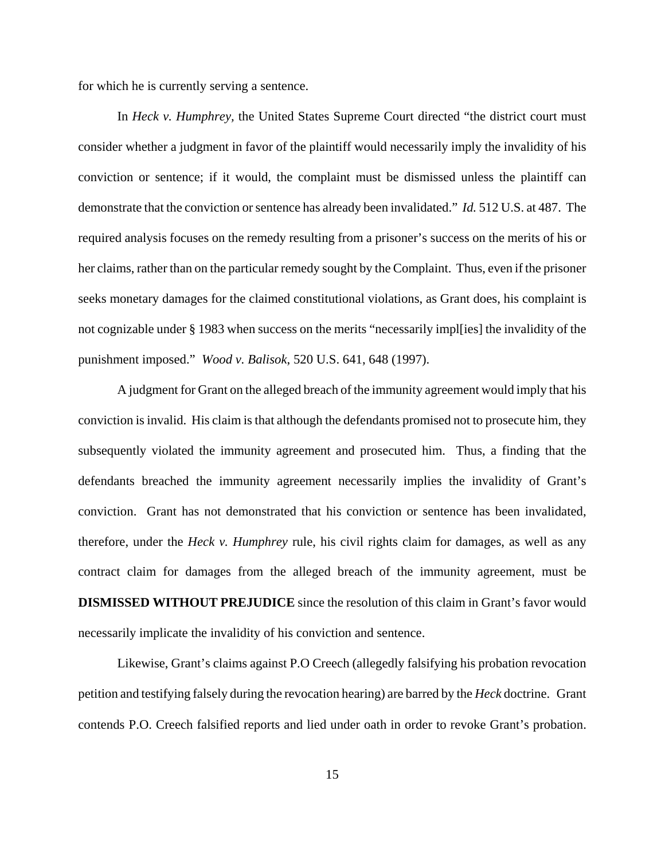for which he is currently serving a sentence.

In *Heck v. Humphrey,* the United States Supreme Court directed "the district court must consider whether a judgment in favor of the plaintiff would necessarily imply the invalidity of his conviction or sentence; if it would, the complaint must be dismissed unless the plaintiff can demonstrate that the conviction or sentence has already been invalidated." *Id.* 512 U.S. at 487. The required analysis focuses on the remedy resulting from a prisoner's success on the merits of his or her claims, rather than on the particular remedy sought by the Complaint. Thus, even if the prisoner seeks monetary damages for the claimed constitutional violations, as Grant does, his complaint is not cognizable under § 1983 when success on the merits "necessarily impl[ies] the invalidity of the punishment imposed." *Wood v. Balisok*, 520 U.S. 641, 648 (1997).

A judgment for Grant on the alleged breach of the immunity agreement would imply that his conviction is invalid. His claim is that although the defendants promised not to prosecute him, they subsequently violated the immunity agreement and prosecuted him. Thus, a finding that the defendants breached the immunity agreement necessarily implies the invalidity of Grant's conviction. Grant has not demonstrated that his conviction or sentence has been invalidated, therefore, under the *Heck v. Humphrey* rule, his civil rights claim for damages, as well as any contract claim for damages from the alleged breach of the immunity agreement, must be **DISMISSED WITHOUT PREJUDICE** since the resolution of this claim in Grant's favor would necessarily implicate the invalidity of his conviction and sentence.

Likewise, Grant's claims against P.O Creech (allegedly falsifying his probation revocation petition and testifying falsely during the revocation hearing) are barred by the *Heck* doctrine.Grant contends P.O. Creech falsified reports and lied under oath in order to revoke Grant's probation.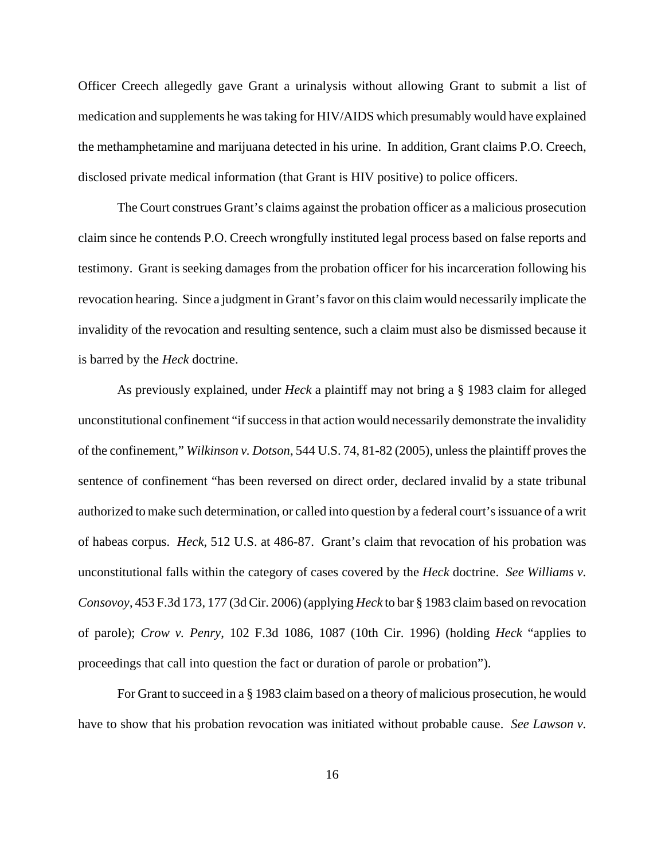Officer Creech allegedly gave Grant a urinalysis without allowing Grant to submit a list of medication and supplements he was taking for HIV/AIDS which presumably would have explained the methamphetamine and marijuana detected in his urine. In addition, Grant claims P.O. Creech, disclosed private medical information (that Grant is HIV positive) to police officers.

The Court construes Grant's claims against the probation officer as a malicious prosecution claim since he contends P.O. Creech wrongfully instituted legal process based on false reports and testimony. Grant is seeking damages from the probation officer for his incarceration following his revocation hearing. Since a judgment in Grant's favor on this claim would necessarily implicate the invalidity of the revocation and resulting sentence, such a claim must also be dismissed because it is barred by the *Heck* doctrine.

As previously explained, under *Heck* a plaintiff may not bring a § 1983 claim for alleged unconstitutional confinement "if success in that action would necessarily demonstrate the invalidity of the confinement," *Wilkinson v. Dotson*, 544 U.S. 74, 81-82 (2005), unless the plaintiff proves the sentence of confinement "has been reversed on direct order, declared invalid by a state tribunal authorized to make such determination, or called into question by a federal court's issuance of a writ of habeas corpus. *Heck*, 512 U.S. at 486-87. Grant's claim that revocation of his probation was unconstitutional falls within the category of cases covered by the *Heck* doctrine. *See Williams v. Consovoy*, 453 F.3d 173, 177 (3d Cir. 2006) (applying *Heck* to bar § 1983 claim based on revocation of parole); *Crow v. Penry*, 102 F.3d 1086, 1087 (10th Cir. 1996) (holding *Heck* "applies to proceedings that call into question the fact or duration of parole or probation").

For Grant to succeed in a § 1983 claim based on a theory of malicious prosecution, he would have to show that his probation revocation was initiated without probable cause. *See Lawson v.*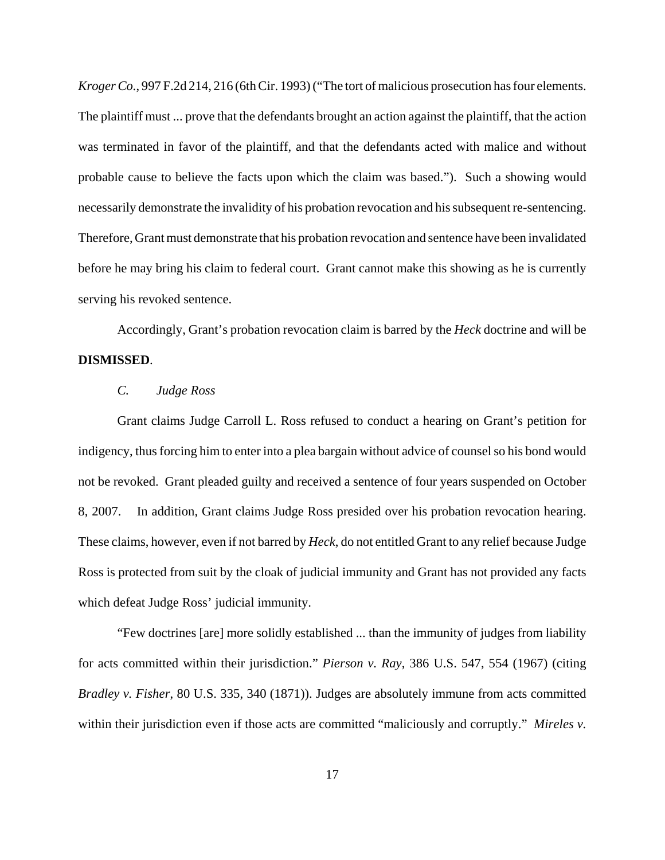*Kroger Co.*, 997 F.2d 214, 216 (6th Cir. 1993) ("The tort of malicious prosecution has four elements. The plaintiff must ... prove that the defendants brought an action against the plaintiff, that the action was terminated in favor of the plaintiff, and that the defendants acted with malice and without probable cause to believe the facts upon which the claim was based."). Such a showing would necessarily demonstrate the invalidity of his probation revocation and his subsequent re-sentencing. Therefore, Grant must demonstrate that his probation revocation and sentence have been invalidated before he may bring his claim to federal court. Grant cannot make this showing as he is currently serving his revoked sentence.

Accordingly, Grant's probation revocation claim is barred by the *Heck* doctrine and will be **DISMISSED**.

#### *C. Judge Ross*

Grant claims Judge Carroll L. Ross refused to conduct a hearing on Grant's petition for indigency, thus forcing him to enter into a plea bargain without advice of counsel so his bond would not be revoked. Grant pleaded guilty and received a sentence of four years suspended on October 8, 2007. In addition, Grant claims Judge Ross presided over his probation revocation hearing. These claims, however, even if not barred by *Heck*, do not entitled Grant to any relief because Judge Ross is protected from suit by the cloak of judicial immunity and Grant has not provided any facts which defeat Judge Ross' judicial immunity.

"Few doctrines [are] more solidly established ... than the immunity of judges from liability for acts committed within their jurisdiction." *Pierson v. Ray*, 386 U.S. 547, 554 (1967) (citing *Bradley v. Fisher*, 80 U.S. 335, 340 (1871)). Judges are absolutely immune from acts committed within their jurisdiction even if those acts are committed "maliciously and corruptly." *Mireles v.*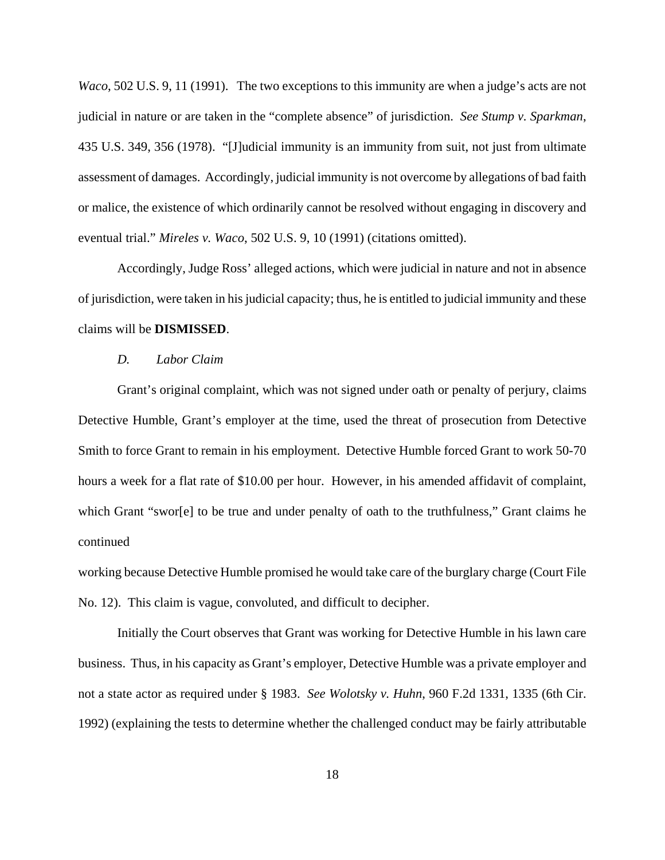*Waco*, 502 U.S. 9, 11 (1991). The two exceptions to this immunity are when a judge's acts are not judicial in nature or are taken in the "complete absence" of jurisdiction. *See Stump v. Sparkman*, 435 U.S. 349, 356 (1978). "[J]udicial immunity is an immunity from suit, not just from ultimate assessment of damages. Accordingly, judicial immunity is not overcome by allegations of bad faith or malice, the existence of which ordinarily cannot be resolved without engaging in discovery and eventual trial." *Mireles v. Waco*, 502 U.S. 9, 10 (1991) (citations omitted).

Accordingly, Judge Ross' alleged actions, which were judicial in nature and not in absence of jurisdiction, were taken in his judicial capacity; thus, he is entitled to judicial immunity and these claims will be **DISMISSED**.

#### *D. Labor Claim*

Grant's original complaint, which was not signed under oath or penalty of perjury, claims Detective Humble, Grant's employer at the time, used the threat of prosecution from Detective Smith to force Grant to remain in his employment. Detective Humble forced Grant to work 50-70 hours a week for a flat rate of \$10.00 per hour. However, in his amended affidavit of complaint, which Grant "swor[e] to be true and under penalty of oath to the truthfulness," Grant claims he continued

working because Detective Humble promised he would take care of the burglary charge (Court File No. 12). This claim is vague, convoluted, and difficult to decipher.

Initially the Court observes that Grant was working for Detective Humble in his lawn care business. Thus, in his capacity as Grant's employer, Detective Humble was a private employer and not a state actor as required under § 1983. *See Wolotsky v. Huhn*, 960 F.2d 1331, 1335 (6th Cir. 1992) (explaining the tests to determine whether the challenged conduct may be fairly attributable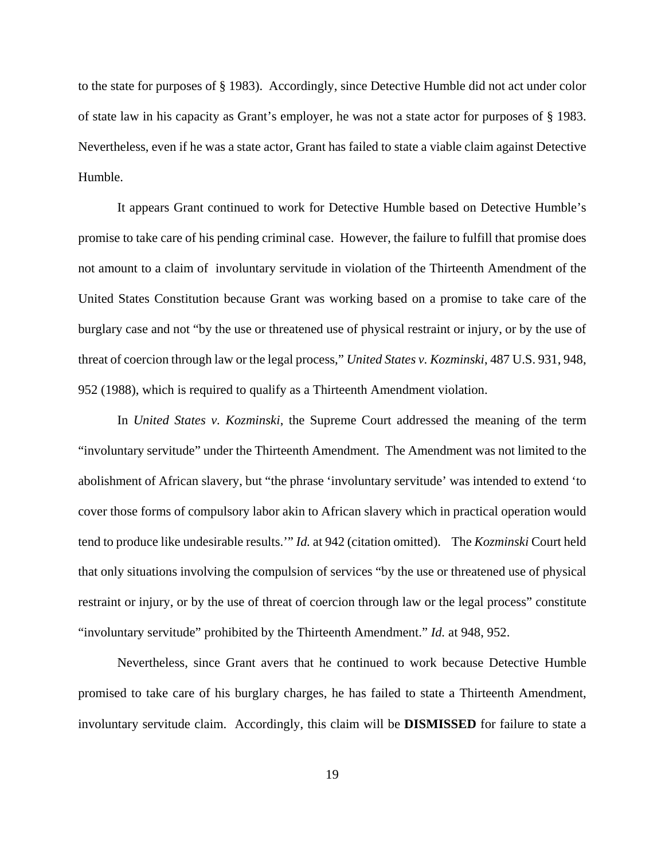to the state for purposes of § 1983). Accordingly, since Detective Humble did not act under color of state law in his capacity as Grant's employer, he was not a state actor for purposes of § 1983. Nevertheless, even if he was a state actor, Grant has failed to state a viable claim against Detective Humble.

It appears Grant continued to work for Detective Humble based on Detective Humble's promise to take care of his pending criminal case. However, the failure to fulfill that promise does not amount to a claim of involuntary servitude in violation of the Thirteenth Amendment of the United States Constitution because Grant was working based on a promise to take care of the burglary case and not "by the use or threatened use of physical restraint or injury, or by the use of threat of coercion through law or the legal process," *United States v. Kozminski*, 487 U.S. 931, 948, 952 (1988), which is required to qualify as a Thirteenth Amendment violation.

In *United States v. Kozminski*, the Supreme Court addressed the meaning of the term "involuntary servitude" under the Thirteenth Amendment. The Amendment was not limited to the abolishment of African slavery, but "the phrase 'involuntary servitude' was intended to extend 'to cover those forms of compulsory labor akin to African slavery which in practical operation would tend to produce like undesirable results.'" *Id.* at 942 (citation omitted). The *Kozminski* Court held that only situations involving the compulsion of services "by the use or threatened use of physical restraint or injury, or by the use of threat of coercion through law or the legal process" constitute "involuntary servitude" prohibited by the Thirteenth Amendment." *Id.* at 948, 952.

Nevertheless, since Grant avers that he continued to work because Detective Humble promised to take care of his burglary charges, he has failed to state a Thirteenth Amendment, involuntary servitude claim. Accordingly, this claim will be **DISMISSED** for failure to state a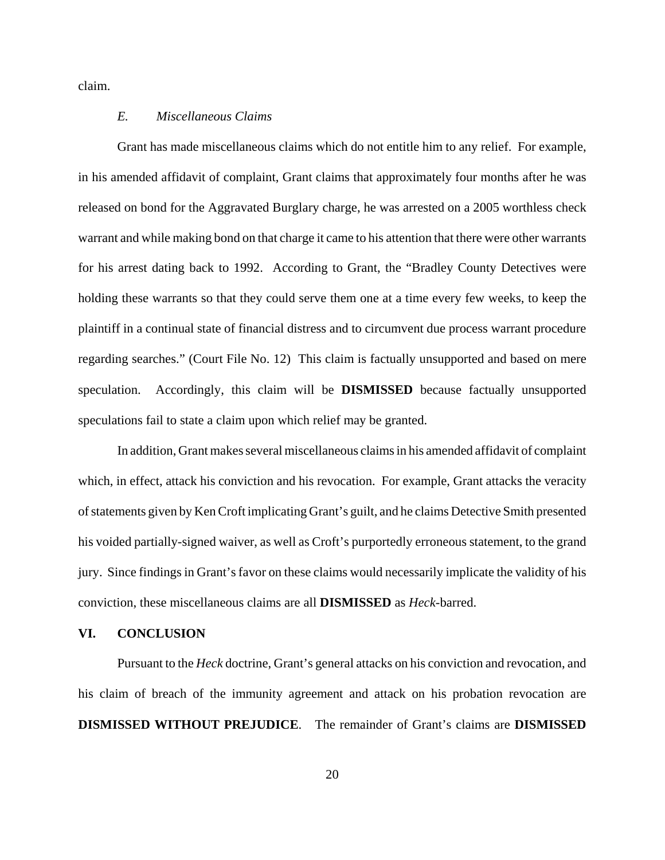claim.

### *E. Miscellaneous Claims*

Grant has made miscellaneous claims which do not entitle him to any relief. For example, in his amended affidavit of complaint, Grant claims that approximately four months after he was released on bond for the Aggravated Burglary charge, he was arrested on a 2005 worthless check warrant and while making bond on that charge it came to his attention that there were other warrants for his arrest dating back to 1992. According to Grant, the "Bradley County Detectives were holding these warrants so that they could serve them one at a time every few weeks, to keep the plaintiff in a continual state of financial distress and to circumvent due process warrant procedure regarding searches." (Court File No. 12) This claim is factually unsupported and based on mere speculation. Accordingly, this claim will be **DISMISSED** because factually unsupported speculations fail to state a claim upon which relief may be granted.

In addition, Grant makes several miscellaneous claims in his amended affidavit of complaint which, in effect, attack his conviction and his revocation. For example, Grant attacks the veracity of statements given by Ken Croft implicating Grant's guilt, and he claims Detective Smith presented his voided partially-signed waiver, as well as Croft's purportedly erroneous statement, to the grand jury. Since findings in Grant's favor on these claims would necessarily implicate the validity of his conviction, these miscellaneous claims are all **DISMISSED** as *Heck-*barred.

# **VI. CONCLUSION**

Pursuant to the *Heck* doctrine, Grant's general attacks on his conviction and revocation, and his claim of breach of the immunity agreement and attack on his probation revocation are **DISMISSED WITHOUT PREJUDICE**. The remainder of Grant's claims are **DISMISSED**